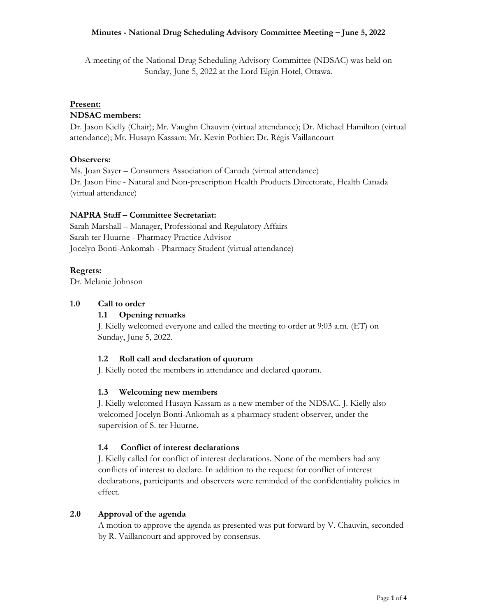A meeting of the National Drug Scheduling Advisory Committee (NDSAC) was held on Sunday, June 5, 2022 at the Lord Elgin Hotel, Ottawa.

## **Present:**

#### **NDSAC members:**

Dr. Jason Kielly (Chair); Mr. Vaughn Chauvin (virtual attendance); Dr. Michael Hamilton (virtual attendance); Mr. Husayn Kassam; Mr. Kevin Pothier; Dr. Régis Vaillancourt

#### **Observers:**

Ms. Joan Sayer – Consumers Association of Canada (virtual attendance) Dr. Jason Fine - Natural and Non-prescription Health Products Directorate, Health Canada (virtual attendance)

#### **NAPRA Staff – Committee Secretariat:**

Sarah Marshall – Manager, Professional and Regulatory Affairs Sarah ter Huurne - Pharmacy Practice Advisor Jocelyn Bonti-Ankomah - Pharmacy Student (virtual attendance)

### **Regrets:**

Dr. Melanie Johnson

#### **1.0 Call to order**

#### **1.1 Opening remarks**

J. Kielly welcomed everyone and called the meeting to order at 9:03 a.m. (ET) on Sunday, June 5, 2022.

## **1.2 Roll call and declaration of quorum**

J. Kielly noted the members in attendance and declared quorum.

#### **1.3 Welcoming new members**

J. Kielly welcomed Husayn Kassam as a new member of the NDSAC. J. Kielly also welcomed Jocelyn Bonti-Ankomah as a pharmacy student observer, under the supervision of S. ter Huurne.

#### **1.4 Conflict of interest declarations**

J. Kielly called for conflict of interest declarations. None of the members had any conflicts of interest to declare. In addition to the request for conflict of interest declarations, participants and observers were reminded of the confidentiality policies in effect.

#### **2.0 Approval of the agenda**

A motion to approve the agenda as presented was put forward by V. Chauvin, seconded by R. Vaillancourt and approved by consensus.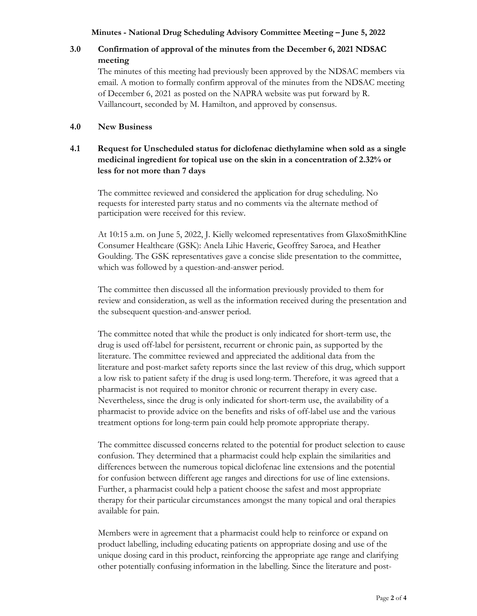# **3.0 Confirmation of approval of the minutes from the December 6, 2021 NDSAC meeting**

The minutes of this meeting had previously been approved by the NDSAC members via email. A motion to formally confirm approval of the minutes from the NDSAC meeting of December 6, 2021 as posted on the NAPRA website was put forward by R. Vaillancourt, seconded by M. Hamilton, and approved by consensus.

## **4.0 New Business**

## **4.1 Request for Unscheduled status for diclofenac diethylamine when sold as a single medicinal ingredient for topical use on the skin in a concentration of 2.32% or less for not more than 7 days**

The committee reviewed and considered the application for drug scheduling. No requests for interested party status and no comments via the alternate method of participation were received for this review.

At 10:15 a.m. on June 5, 2022, J. Kielly welcomed representatives from GlaxoSmithKline Consumer Healthcare (GSK): Anela Lihic Haveric, Geoffrey Saroea, and Heather Goulding. The GSK representatives gave a concise slide presentation to the committee, which was followed by a question-and-answer period.

The committee then discussed all the information previously provided to them for review and consideration, as well as the information received during the presentation and the subsequent question-and-answer period.

The committee noted that while the product is only indicated for short-term use, the drug is used off-label for persistent, recurrent or chronic pain, as supported by the literature. The committee reviewed and appreciated the additional data from the literature and post-market safety reports since the last review of this drug, which support a low risk to patient safety if the drug is used long-term. Therefore, it was agreed that a pharmacist is not required to monitor chronic or recurrent therapy in every case. Nevertheless, since the drug is only indicated for short-term use, the availability of a pharmacist to provide advice on the benefits and risks of off-label use and the various treatment options for long-term pain could help promote appropriate therapy.

The committee discussed concerns related to the potential for product selection to cause confusion. They determined that a pharmacist could help explain the similarities and differences between the numerous topical diclofenac line extensions and the potential for confusion between different age ranges and directions for use of line extensions. Further, a pharmacist could help a patient choose the safest and most appropriate therapy for their particular circumstances amongst the many topical and oral therapies available for pain.

Members were in agreement that a pharmacist could help to reinforce or expand on product labelling, including educating patients on appropriate dosing and use of the unique dosing card in this product, reinforcing the appropriate age range and clarifying other potentially confusing information in the labelling. Since the literature and post-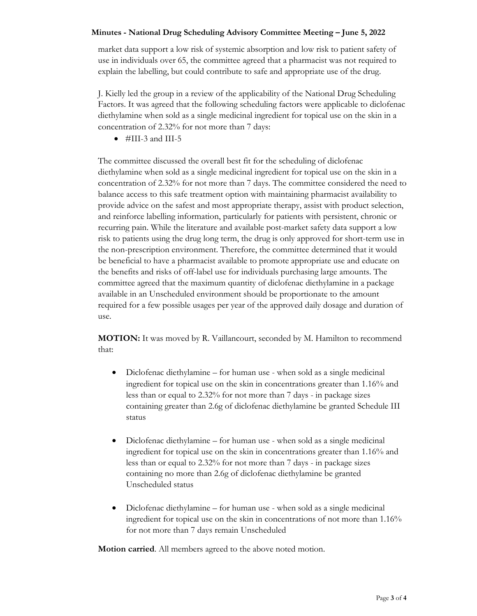market data support a low risk of systemic absorption and low risk to patient safety of use in individuals over 65, the committee agreed that a pharmacist was not required to explain the labelling, but could contribute to safe and appropriate use of the drug.

J. Kielly led the group in a review of the applicability of the National Drug Scheduling Factors. It was agreed that the following scheduling factors were applicable to diclofenac diethylamine when sold as a single medicinal ingredient for topical use on the skin in a concentration of 2.32% for not more than 7 days:

 $\bullet$  #III-3 and III-5

The committee discussed the overall best fit for the scheduling of diclofenac diethylamine when sold as a single medicinal ingredient for topical use on the skin in a concentration of 2.32% for not more than 7 days. The committee considered the need to balance access to this safe treatment option with maintaining pharmacist availability to provide advice on the safest and most appropriate therapy, assist with product selection, and reinforce labelling information, particularly for patients with persistent, chronic or recurring pain. While the literature and available post-market safety data support a low risk to patients using the drug long term, the drug is only approved for short-term use in the non-prescription environment. Therefore, the committee determined that it would be beneficial to have a pharmacist available to promote appropriate use and educate on the benefits and risks of off-label use for individuals purchasing large amounts. The committee agreed that the maximum quantity of diclofenac diethylamine in a package available in an Unscheduled environment should be proportionate to the amount required for a few possible usages per year of the approved daily dosage and duration of use.

**MOTION:** It was moved by R. Vaillancourt, seconded by M. Hamilton to recommend that:

- Diclofenac diethylamine for human use when sold as a single medicinal ingredient for topical use on the skin in concentrations greater than 1.16% and less than or equal to 2.32% for not more than 7 days - in package sizes containing greater than 2.6g of diclofenac diethylamine be granted Schedule III status
- Diclofenac diethylamine for human use when sold as a single medicinal ingredient for topical use on the skin in concentrations greater than 1.16% and less than or equal to 2.32% for not more than 7 days - in package sizes containing no more than 2.6g of diclofenac diethylamine be granted Unscheduled status
- Diclofenac diethylamine for human use when sold as a single medicinal ingredient for topical use on the skin in concentrations of not more than 1.16% for not more than 7 days remain Unscheduled

**Motion carried**. All members agreed to the above noted motion.